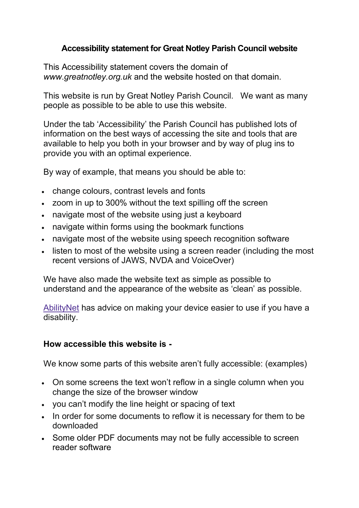## **Accessibility statement for Great Notley Parish Council website**

This Accessibility statement covers the domain of *www*.*greatnotley.org.uk* and the website hosted on that domain.

This website is run by Great Notley Parish Council. We want as many people as possible to be able to use this website.

Under the tab 'Accessibility' the Parish Council has published lots of information on the best ways of accessing the site and tools that are available to help you both in your browser and by way of plug ins to provide you with an optimal experience.

By way of example, that means you should be able to:

- change colours, contrast levels and fonts
- zoom in up to 300% without the text spilling off the screen
- navigate most of the website using just a keyboard
- navigate within forms using the bookmark functions
- navigate most of the website using speech recognition software
- listen to most of the website using a screen reader (including the most recent versions of JAWS, NVDA and VoiceOver)

We have also made the website text as simple as possible to understand and the appearance of the website as 'clean' as possible.

[AbilityNet](https://mcmw.abilitynet.org.uk/) has advice on making your device easier to use if you have a disability.

## **How accessible this website is -**

We know some parts of this website aren't fully accessible: (examples)

- On some screens the text won't reflow in a single column when you change the size of the browser window
- you can't modify the line height or spacing of text
- In order for some documents to reflow it is necessary for them to be downloaded
- Some older PDF documents may not be fully accessible to screen reader software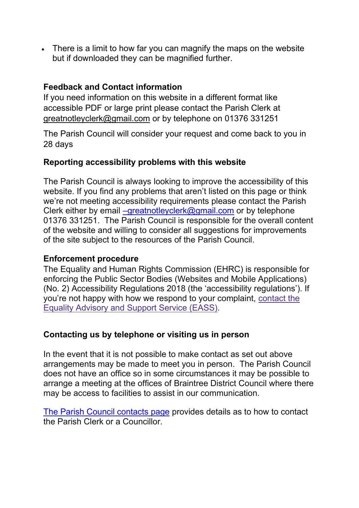• There is a limit to how far you can magnify the maps on the website but if downloaded they can be magnified further.

## **Feedback and Contact information**

If you need information on this website in a different format like accessible PDF or large print please contact the Parish Clerk at [greatnotleyclerk@gmail.com](mailto:greatnotleyclerk@gmail.com) or by telephone on 01376 331251

The Parish Council will consider your request and come back to you in 28 days

## **Reporting accessibility problems with this website**

The Parish Council is always looking to improve the accessibility of this website. If you find any problems that aren't listed on this page or think we're not meeting accessibility requirements please contact the Parish Clerk either by email –[greatnotleyclerk@gmail.com](mailto:–greatnotleyclerk@gmail.com) or by telephone 01376 331251. The Parish Council is responsible for the overall content of the website and willing to consider all suggestions for improvements of the site subject to the resources of the Parish Council.

## **Enforcement procedure**

The Equality and Human Rights Commission (EHRC) is responsible for enforcing the Public Sector Bodies (Websites and Mobile Applications) (No. 2) Accessibility Regulations 2018 (the 'accessibility regulations'). If you're not happy with how we respond to your complaint, [contact](https://www.equalityadvisoryservice.com/) the Equality [Advisory](https://www.equalityadvisoryservice.com/) and Support Service (EASS).

# **Contacting us by telephone or visiting us in person**

In the event that it is not possible to make contact as set out above arrangements may be made to meet you in person. The Parish Council does not have an office so in some circumstances it may be possible to arrange a meeting at the offices of Braintree District Council where there may be access to facilities to assist in our communication.

[The Parish Council contacts page](https://www.essexinfo.net/littlewaltham/contact-details-for-the-parish/contact-the-parish-council/) provides details as to how to contact the Parish Clerk or a Councillor.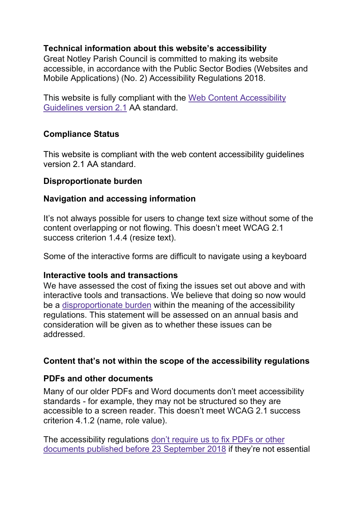## **Technical information about this website's accessibility**

Great Notley Parish Council is committed to making its website accessible, in accordance with the Public Sector Bodies (Websites and Mobile Applications) (No. 2) Accessibility Regulations 2018.

This website is fully compliant with the Web Content [Accessibility](https://www.w3.org/TR/WCAG21/) [Guidelines](https://www.w3.org/TR/WCAG21/) version 2.1 AA standard.

## **Compliance Status**

This website is compliant with the web content accessibility guidelines version 2.1 AA standard.

## **Disproportionate burden**

#### **Navigation and accessing information**

It's not always possible for users to change text size without some of the content overlapping or not flowing. This doesn't meet WCAG 2.1 success criterion 1.4.4 (resize text).

Some of the interactive forms are difficult to navigate using a keyboard

#### **Interactive tools and transactions**

We have assessed the cost of fixing the issues set out above and with interactive tools and transactions. We believe that doing so now would be a [disproportionate](http://www.legislation.gov.uk/uksi/2018/952/regulation/7/made) burden within the meaning of the accessibility regulations. This statement will be assessed on an annual basis and consideration will be given as to whether these issues can be addressed.

## **Content that's not within the scope of the accessibility regulations**

#### **PDFs and other documents**

Many of our older PDFs and Word documents don't meet accessibility standards - for example, they may not be structured so they are accessible to a screen reader. This doesn't meet WCAG 2.1 success criterion 4.1.2 (name, role value).

The accessibility regulations don't [require](http://www.legislation.gov.uk/uksi/2018/952/regulation/4/made) us to fix PDFs or other documents published before 23 [September](http://www.legislation.gov.uk/uksi/2018/952/regulation/4/made) 2018 if they're not essential